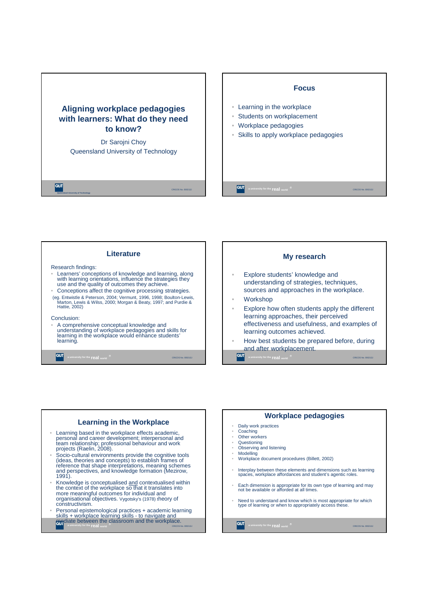







## **Workplace pedagogies**

- Daily work practices
- Coaching Other workers
- 

 $\overline{\text{CUT}}$ 

- Questioning<br>• Obsenting a Observing and listening
- Modelling
- Workplace document procedures (Billett, 2002)
- Interplay between these elements and dimensions such as learning spaces, workplace affordances and student's agentic roles.
- Each dimension is appropriate for its own type of learning and may not be available or afforded at all times.
- Need to understand and know which is most appropriate for which type of learning or when to appropriately access these.

**a** university for the **real** world  $\overline{C}$